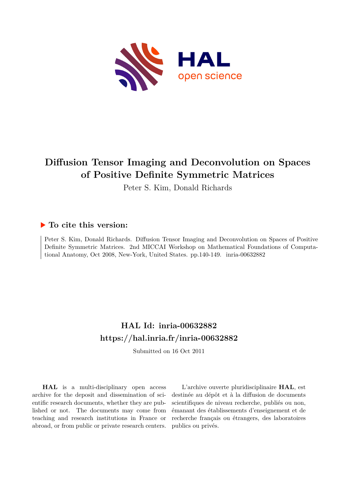

# **Diffusion Tensor Imaging and Deconvolution on Spaces of Positive Definite Symmetric Matrices**

Peter S. Kim, Donald Richards

## **To cite this version:**

Peter S. Kim, Donald Richards. Diffusion Tensor Imaging and Deconvolution on Spaces of Positive Definite Symmetric Matrices. 2nd MICCAI Workshop on Mathematical Foundations of Computational Anatomy, Oct 2008, New-York, United States. pp.140-149. inria-00632882

# **HAL Id: inria-00632882 <https://hal.inria.fr/inria-00632882>**

Submitted on 16 Oct 2011

**HAL** is a multi-disciplinary open access archive for the deposit and dissemination of scientific research documents, whether they are published or not. The documents may come from teaching and research institutions in France or abroad, or from public or private research centers.

L'archive ouverte pluridisciplinaire **HAL**, est destinée au dépôt et à la diffusion de documents scientifiques de niveau recherche, publiés ou non, émanant des établissements d'enseignement et de recherche français ou étrangers, des laboratoires publics ou privés.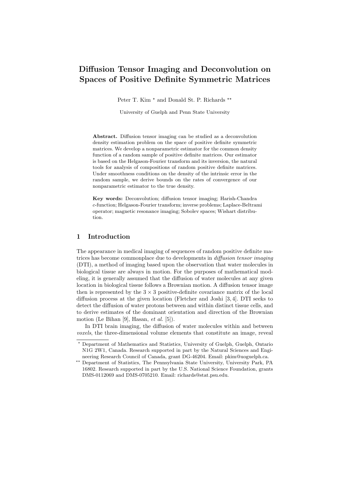# Diffusion Tensor Imaging and Deconvolution on Spaces of Positive Definite Symmetric Matrices

Peter T. Kim  $*$  and Donald St. P. Richards  $**$ 

University of Guelph and Penn State University

Abstract. Diffusion tensor imaging can be studied as a deconvolution density estimation problem on the space of positive definite symmetric matrices. We develop a nonparametric estimator for the common density function of a random sample of positive definite matrices. Our estimator is based on the Helgason-Fourier transform and its inversion, the natural tools for analysis of compositions of random positive definite matrices. Under smoothness conditions on the density of the intrinsic error in the random sample, we derive bounds on the rates of convergence of our nonparametric estimator to the true density.

Key words: Deconvolution; diffusion tensor imaging; Harish-Chandra c-function; Helgason-Fourier transform; inverse problems; Laplace-Beltrami operator; magnetic resonance imaging; Sobolev spaces; Wishart distribution.

### 1 Introduction

The appearance in medical imaging of sequences of random positive definite matrices has become commonplace due to developments in diffusion tensor imaging (DTI), a method of imaging based upon the observation that water molecules in biological tissue are always in motion. For the purposes of mathematical modeling, it is generally assumed that the diffusion of water molecules at any given location in biological tissue follows a Brownian motion. A diffusion tensor image then is represented by the  $3 \times 3$  positive-definite covariance matrix of the local diffusion process at the given location (Fletcher and Joshi [3, 4]. DTI seeks to detect the diffusion of water protons between and within distinct tissue cells, and to derive estimates of the dominant orientation and direction of the Brownian motion (Le Bihan [9], Hasan,  $et \ al.$  [5]).

In DTI brain imaging, the diffusion of water molecules within and between voxels, the three-dimensional volume elements that constitute an image, reveal

Department of Mathematics and Statistics, University of Guelph, Guelph, Ontario N1G 2W1, Canada. Research supported in part by the Natural Sciences and Engineering Research Council of Canada, grant DG-46204. Email: pkim@uoguelph.ca.

<sup>\*\*</sup> Department of Statistics, The Pennsylvania State University, University Park, PA 16802. Research supported in part by the U.S. National Science Foundation, grants DMS-0112069 and DMS-0705210. Email: richards@stat.psu.edu.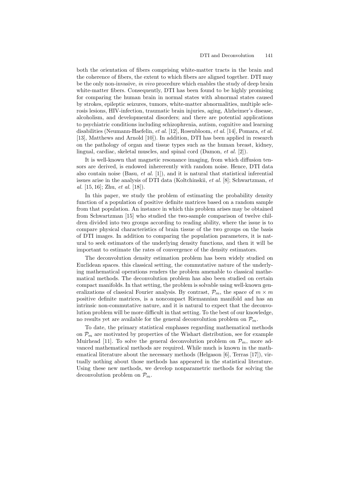both the orientation of fibers comprising white-matter tracts in the brain and the coherence of fibers, the extent to which fibers are aligned together. DTI may be the only non-invasive, in vivo procedure which enables the study of deep brain white-matter fibers. Consequently, DTI has been found to be highly promising for comparing the human brain in normal states with abnormal states caused by strokes, epileptic seizures, tumors, white-matter abnormalities, multiple sclerosis lesions, HIV-infection, traumatic brain injuries, aging, Alzheimer's disease, alcoholism, and developmental disorders; and there are potential applications to psychiatric conditions including schizophrenia, autism, cognitive and learning disabilities (Neumann-Haefelin, et al. [12], Rosenbloom, et al. [14], Pomara, et al. [13], Matthews and Arnold [10]). In addition, DTI has been applied in research on the pathology of organ and tissue types such as the human breast, kidney, lingual, cardiac, skeletal muscles, and spinal cord (Damon, et al. [2]).

It is well-known that magnetic resonance imaging, from which diffusion tensors are derived, is endowed inhererently with random noise. Hence, DTI data also contain noise (Basu, et al.  $[1]$ ), and it is natural that statistical inferential issues arise in the analysis of DTI data (Koltchinskii, et al. [8]; Schwartzman, et al.  $[15, 16]$ ; Zhu, et al.  $[18]$ ).

In this paper, we study the problem of estimating the probability density function of a population of positive definite matrices based on a random sample from that population. An instance in which this problem arises may be obtained from Schwartzman [15] who studied the two-sample comparison of twelve children divided into two groups according to reading ability, where the issue is to compare physical characteristics of brain tissue of the two groups on the basis of DTI images. In addition to comparing the population parameters, it is natural to seek estimators of the underlying density functions, and then it will be important to estimate the rates of convergence of the density estimators.

The deconvolution density estimation problem has been widely studied on Euclidean spaces. this classical setting, the commutative nature of the underlying mathematical operations renders the problem amenable to classical mathematical methods. The deconvolution problem has also been studied on certain compact manifolds. In that setting, the problem is solvable using well-known generalizations of classical Fourier analysis. By contrast,  $\mathcal{P}_m$ , the space of  $m \times m$ positive definite matrices, is a noncompact Riemannian manifold and has an intrinsic non-commutative nature, and it is natural to expect that the deconvolution problem will be more difficult in that setting. To the best of our knowledge, no results yet are available for the general deconvolution problem on  $\mathcal{P}_m$ .

To date, the primary statistical emphases regarding mathematical methods on  $\mathcal{P}_m$  are motivated by properties of the Wishart distribution, see for example Muirhead [11]. To solve the general deconvolution problem on  $\mathcal{P}_m$ , more advanced mathematical methods are required. While much is known in the mathematical literature about the necessary methods (Helgason  $[6]$ , Terras  $[17]$ ), virtually nothing about those methods has appeared in the statistical literature. Using these new methods, we develop nonparametric methods for solving the deconvolution problem on  $\mathcal{P}_m$ .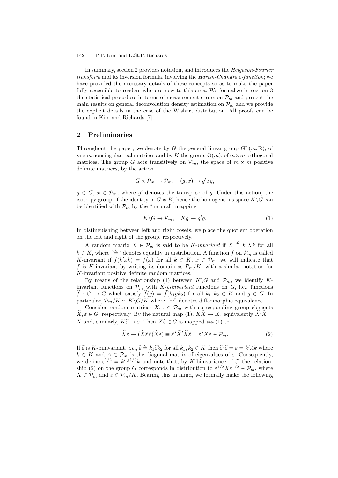In summary, section 2 provides notation, and introduces the Helgason-Fourier transform and its inversion formula, involving the Harish-Chandra c-function; we have provided the necessary details of these concepts so as to make the paper fully accessible to readers who are new to this area. We formalize in section 3 the statistical procedure in terms of measurement errors on  $\mathcal{P}_m$  and present the main results on general deconvolution density estimation on  $\mathcal{P}_m$  and we provide the explicit details in the case of the Wishart distribution. All proofs can be found in Kim and Richards [7].

## 2 Preliminaries

Throughout the paper, we denote by G the general linear group  $GL(m, \mathbb{R})$ , of  $m \times m$  nonsingular real matrices and by K the group,  $O(m)$ , of  $m \times m$  orthogonal matrices. The group G acts transitively on  $\mathcal{P}_m$ , the space of  $m \times m$  positive definite matrices, by the action

$$
G \times \mathcal{P}_m \to \mathcal{P}_m, \quad (g, x) \mapsto g' x g,
$$

 $g \in G$ ,  $x \in \mathcal{P}_m$ , where g' denotes the transpose of g. Under this action, the isotropy group of the identity in G is K, hence the homogeneous space  $K\backslash G$  can be identified with  $P_m$  by the "natural" mapping

$$
K\backslash G \to \mathcal{P}_m, \quad Kg \mapsto g'g. \tag{1}
$$

In distinguishing between left and right cosets, we place the quotient operation on the left and right of the group, respectively.

A random matrix  $X \in \mathcal{P}_m$  is said to be K-invariant if  $X \stackrel{\mathcal{L}}{=} k'Xk$  for all  $k \in K$ , where " $\stackrel{\text{d}}{=}$ " denotes equality in distribution. A function f on  $\mathcal{P}_m$  is called K-invariant if  $f(k'xk) = f(x)$  for all  $k \in K$ ,  $x \in \mathcal{P}_m$ ; we will indicate that f is K-invariant by writing its domain as  $\mathcal{P}_m/K$ , with a similar notation for K-invariant positive definite random matrices.

By means of the relationship (1) between  $K\backslash G$  and  $\mathcal{P}_m$ , we identify Kinvariant functions on  $\mathcal{P}_m$  with *K-biinvariant* functions on *G*, i.e., functions  $\tilde{f}: G \to \mathbb{C}$  which satisfy  $\tilde{f}(g) = \tilde{f}(k_1 g k_2)$  for all  $k_1, k_2 \in K$  and  $g \in G$ . In particular,  $\mathcal{P}_m/K \simeq K\backslash G/K$  where "≃" denotes diffeomorphic equivalence.

Consider random matrices  $X, \varepsilon \in \mathcal{P}_m$  with corresponding group elements  $\widetilde{X}, \widetilde{\varepsilon} \in G$ , respectively. By the natural map (1),  $K\widetilde{X} \mapsto X$ , equivalently  $\widetilde{X}'\widetilde{X} =$ X and, similarly,  $K\widetilde{\varepsilon} \mapsto \varepsilon$ . Then  $\widetilde{X}\widetilde{\varepsilon} \in G$  is mapped via (1) to

$$
\widetilde{X}\widetilde{\varepsilon} \mapsto (\widetilde{X}\widetilde{\varepsilon})'(\widetilde{X}\widetilde{\varepsilon}) \equiv \widetilde{\varepsilon}'\widetilde{X}'\widetilde{X}\widetilde{\varepsilon} = \widetilde{\varepsilon}'X\widetilde{\varepsilon} \in \mathcal{P}_m.
$$
\n(2)

If  $\tilde{\varepsilon}$  is K-biinvariant, i.e.,  $\tilde{\varepsilon} \stackrel{\mathcal{L}}{=} k_1 \tilde{\varepsilon} k_2$  for all  $k_1, k_2 \in K$  then  $\tilde{\varepsilon}' \tilde{\varepsilon} = \varepsilon = k' A k$  where  $k \in K$  and  $\Lambda \in \mathcal{P}_m$  is the diagonal matrix of eigenvalues of  $\varepsilon$ . Consequently, we define  $\varepsilon^{1/2} = k' \Lambda^{1/2} k$  and note that, by K-biinvariance of  $\tilde{\varepsilon}$ , the relation-<br>ship (2) on the group G corresponds in distribution to  $\varepsilon^{1/2} X \varepsilon^{1/2} \in \mathcal{P}_m$ , where  $X \in \mathcal{P}_m$  and  $\varepsilon \in \mathcal{P}_m/K$ . Bearing this in mind, we formally make the following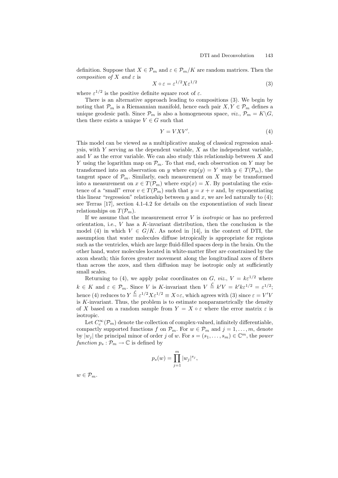definition. Suppose that  $X \in \mathcal{P}_m$  and  $\varepsilon \in \mathcal{P}_m/K$  are random matrices. Then the composition of X and  $\varepsilon$  is

$$
X \circ \varepsilon = \varepsilon^{1/2} X \varepsilon^{1/2} \tag{3}
$$

where  $\varepsilon^{1/2}$  is the positive definite square root of  $\varepsilon$ .

There is an alternative approach leading to compositions (3). We begin by noting that  $\mathcal{P}_m$  is a Riemannian manifold, hence each pair  $X, Y \in \mathcal{P}_m$  defines a unique geodesic path. Since  $\mathcal{P}_m$  is also a homogeneous space, *viz.*,  $\mathcal{P}_m = K\backslash G$ , then there exists a unique  $V \in G$  such that

$$
Y = V X V'.\tag{4}
$$

This model can be viewed as a multiplicative analog of classical regression analysis, with  $Y$  serving as the dependent variable,  $X$  as the independent variable, and  $V$  as the error variable. We can also study this relationship between  $X$  and Y using the logarithm map on  $\mathcal{P}_m$ . To that end, each observation on Y may be transformed into an observation on y where  $\exp(y) = Y$  with  $y \in T(\mathcal{P}_m)$ , the tangent space of  $\mathcal{P}_m$ . Similarly, each measurement on X may be transformed into a measurement on  $x \in T(\mathcal{P}_m)$  where  $\exp(x) = X$ . By postulating the existence of a "small" error  $v \in T(\mathcal{P}_m)$  such that  $y = x + v$  and, by exponentiating this linear "regression" relationship between y and x, we are led naturally to  $(4)$ ; see Terras [17], section 4.1-4.2 for details on the exponentiation of such linear relationships on  $T(\mathcal{P}_m)$ .

If we assume that the measurement error  $V$  is *isotropic* or has no preferred orientation, i.e.,  $V$  has a  $K$ -invariant distribution, then the conclusion is the model (4) in which  $V \in G/K$ . As noted in [14], in the context of DTI, the assumption that water molecules diffuse istropically is appropriate for regions such as the ventricles, which are large fluid-filled spaces deep in the brain. On the other hand, water molecules located in white-matter fiber are constrained by the axon sheath; this forces greater movement along the longitudinal axes of fibers than across the axes, and then diffusion may be isotropic only at sufficiently small scales.

Returning to (4), we apply polar coordinates on G, viz.,  $V = k\varepsilon^{1/2}$  where  $k \in K$  and  $\varepsilon \in \mathcal{P}_m$ . Since V is K-invariant then  $V \stackrel{\mathcal{L}}{=} k'V = k'k\varepsilon^{1/2} = \varepsilon^{1/2};$ hence (4) reduces to  $Y \stackrel{\mathcal{L}}{=} \varepsilon^{1/2} X \varepsilon^{1/2} \equiv X \circ \varepsilon$ , which agrees with (3) since  $\varepsilon = V'V$ is  $K$ -invariant. Thus, the problem is to estimate nonparametrically the density of X based on a random sample from  $Y = X \circ \varepsilon$  where the error matrix  $\varepsilon$  is isotropic.

Let  $C_c^{\infty}(\mathcal{P}_m)$  denote the collection of complex-valued, infinitely differentiable, compactly supported functions f on  $\mathcal{P}_m$ . For  $w \in \mathcal{P}_m$  and  $j = 1, \ldots, m$ , denote by  $|w_j|$  the principal minor of order j of w. For  $s = (s_1, \ldots, s_m) \in \mathbb{C}^m$ , the power function  $p_s : \mathcal{P}_m \to \mathbb{C}$  is defined by

$$
p_s(w) = \prod_{j=1}^m |w_j|^{s_j},
$$

 $w \in \mathcal{P}_m$ .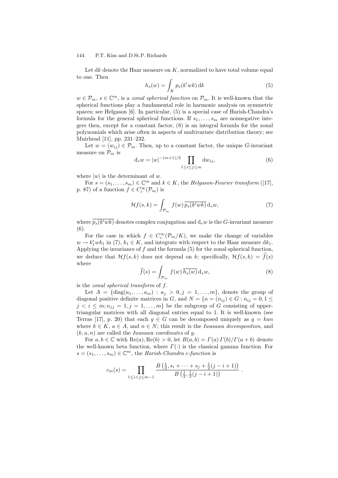Let  $dk$  denote the Haar measure on  $K$ , normalized to have total volume equal to one. Then

$$
h_s(w) = \int_K p_s(k'wk) \, \mathrm{d}k \tag{5}
$$

 $w \in \mathcal{P}_m$ ,  $s \in \mathbb{C}^m$ , is a *zonal spherical function* on  $\mathcal{P}_m$ . It is well-known that the spherical functions play a fundamental role in harmonic analysis on symmetric spaces; see Helgason [6]. In particular, (5) is a special case of Harish-Chandra's formula for the general spherical functions. If  $s_1, \ldots, s_m$  are nonnegative integers then, except for a constant factor, (8) is an integral formula for the zonal polynomials which arise often in aspects of multivariate distribution theory; see Muirhead [11], pp. 231–232.

Let  $w = (w_{ij}) \in \mathcal{P}_m$ . Then, up to a constant factor, the unique G-invariant measure on  $\mathcal{P}_m$  is

$$
d_* w = |w|^{-(m+1)/2} \prod_{1 \le i \le j \le m} dw_{ij}, \tag{6}
$$

where  $|w|$  is the determinant of w.

For  $s = (s_1, \ldots, s_m) \in \mathbb{C}^m$  and  $k \in K$ , the *Helgason-Fourier transform* ([17], p. 87) of a function  $f \in C_c^{\infty}(\mathcal{P}_m)$  is

$$
\mathcal{H}f(s,k) = \int_{\mathcal{P}_m} f(w) \, \overline{p_s(k'wk)} \, \mathrm{d}_* w,\tag{7}
$$

where  $p_s(k'wk)$  denotes complex conjugation and  $d_*w$  is the G-invariant measure (6).

For the case in which  $f \in C_c^{\infty}(\mathcal{P}_m/K)$ , we make the change of variables  $w \to k'_1 w k_1$  in (7),  $k_1 \in K$ , and integrate with respect to the Haar measure  $dk_1$ . Applying the invariance of  $f$  and the formula  $(5)$  for the zonal spherical function, we deduce that  $Hf(s, k)$  does not depend on k; specifically,  $Hf(s, k) = \hat{f}(s)$ where

$$
\widehat{f}(s) = \int_{\mathcal{P}_m} f(w) \, \overline{h_s(w)} \, \mathrm{d}_* w,\tag{8}
$$

is the zonal spherical transform of f.

Let  $A = \{diag(a_1, \ldots, a_m) : a_j > 0, j = 1, \ldots, m\}$ , denote the group of diagonal positive definite matrices in G, and  $N = \{n = (n_{ij}) \in G : n_{ij} = 0, 1 \leq j \leq n_{ij} \}$  $j < i \leq m; n_{jj} = 1, j = 1, \ldots, m$  be the subgroup of G consisting of uppertriangular matrices with all diagonal entries equal to 1. It is well-known (see Terras [17], p. 20) that each  $g \in G$  can be decomposed uniquely as  $g = kan$ where  $k \in K$ ,  $a \in A$ , and  $n \in N$ ; this result is the *Iwasawa decomposition*, and  $(k, a, n)$  are called the *Iwasawa coordinates* of g.

For  $a, b \in \mathbb{C}$  with  $\text{Re}(a), \text{Re}(b) > 0$ , let  $B(a, b) = \Gamma(a) \Gamma(b) / \Gamma(a + b)$  denote the well-known beta function, where  $\Gamma(\cdot)$  is the classical gamma function. For  $s = (s_1, \ldots, s_m) \in \mathbb{C}^m$ , the Harish-Chandra c-function is

$$
c_m(s) = \prod_{1 \leq i < j \leq m-1} \frac{B\left(\frac{1}{2}, s_i + \dots + s_j + \frac{1}{2}(j-i+1)\right)}{B\left(\frac{1}{2}, \frac{1}{2}(j-i+1)\right)} \; .
$$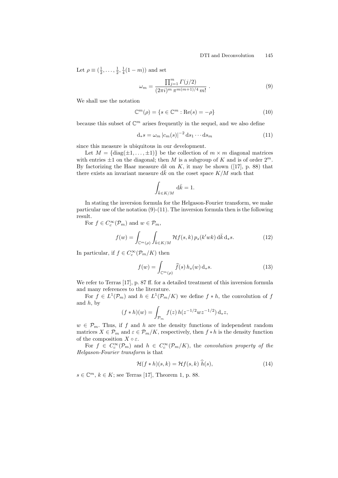Let  $\rho \equiv (\frac{1}{2}, \ldots, \frac{1}{2}, \frac{1}{4}(1-m))$  and set

$$
\omega_m = \frac{\prod_{j=1}^m \Gamma(j/2)}{(2\pi i)^m \pi^{m(m+1)/4} m!} \ . \tag{9}
$$

We shall use the notation

$$
\mathbb{C}^m(\rho) = \{ s \in \mathbb{C}^m : \text{Re}(s) = -\rho \}
$$
\n(10)

because this subset of  $\mathbb{C}^m$  arises frequently in the sequel, and we also define

$$
\mathbf{d}_{*} s = \omega_{m} \left| c_{m}(s) \right|^{-2} \mathbf{d} s_{1} \cdots \mathbf{d} s_{m} \tag{11}
$$

since this measure is ubiquitous in our development.

Let  $M = \{diag(\pm 1, ..., \pm 1)\}\$  be the collection of  $m \times m$  diagonal matrices with entries  $\pm 1$  on the diagonal; then M is a subgroup of K and is of order  $2^m$ . By factorizing the Haar measure dk on  $K$ , it may be shown ([17], p. 88) that there exists an invariant measure  $d\bar{k}$  on the coset space  $K/M$  such that

$$
\int_{\bar{k}\in K/M} \mathrm{d}\bar{k} = 1.
$$

In stating the inversion formula for the Helgason-Fourier transform, we make particular use of the notation  $(9)-(11)$ . The inversion formula then is the following result.

For  $f \in C_c^{\infty}(\mathcal{P}_m)$  and  $w \in \mathcal{P}_m$ ,

$$
f(w) = \int_{\mathbb{C}^m(\rho)} \int_{\bar{k} \in K/M} \mathcal{H}f(s,k) \, p_s(k'wk) \, d\bar{k} \, d_*s. \tag{12}
$$

In particular, if  $f \in C_c^{\infty}(\mathcal{P}_m/K)$  then

$$
f(w) = \int_{\mathbb{C}^m(\rho)} \widehat{f}(s) h_s(w) \, \mathrm{d}_* s. \tag{13}
$$

We refer to Terras [17], p. 87 ff. for a detailed treatment of this inversion formula and many references to the literature.

For  $f \in L^1(\mathcal{P}_m)$  and  $h \in L^1(\mathcal{P}_m/K)$  we define  $f * h$ , the convolution of  $f$ and  $h$ , by

$$
(f * h)(w) = \int_{\mathcal{P}_m} f(z) h(z^{-1/2} w z^{-1/2}) \, \mathrm{d}_* z,
$$

 $w \in \mathcal{P}_m$ . Thus, if f and h are the density functions of independent random matrices  $X \in \mathcal{P}_m$  and  $\varepsilon \in \mathcal{P}_m/K$ , respectively, then  $f * h$  is the density function of the composition  $X \circ \varepsilon$ .

For  $f \in C_c^{\infty}(\mathcal{P}_m)$  and  $h \in C_c^{\infty}(\mathcal{P}_m/K)$ , the convolution property of the Helgason-Fourier transform is that

$$
\mathcal{H}(f * h)(s,k) = \mathcal{H}f(s,k) \; h(s), \tag{14}
$$

 $s \in \mathbb{C}^m$ ,  $k \in K$ ; see Terras [17], Theorem 1, p. 88.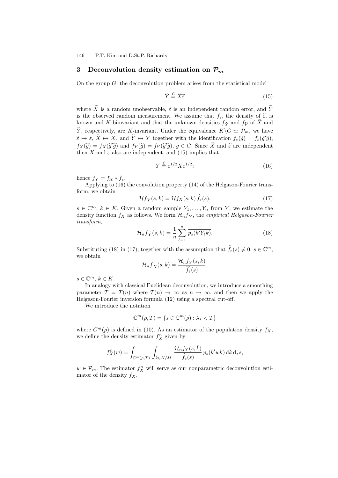### 3 Deconvolution density estimation on  $\mathcal{P}_m$

On the group  $G$ , the deconvolution problem arises from the statistical model

$$
\widetilde{Y} \stackrel{\mathcal{L}}{=} \widetilde{X}\widetilde{\varepsilon} \tag{15}
$$

where  $\widetilde{X}$  is a random unobservable,  $\widetilde{\varepsilon}$  is an independent random error, and  $\widetilde{Y}$ is the observed random measurement. We assume that  $f_{\tilde{\epsilon}}$ , the density of  $\tilde{\epsilon}$ , is known and K-biinvariant and that the unknown densities  $f_{\tilde{X}}$  and  $f_{\tilde{Y}}$  of  $\tilde{X}$  and  $\widetilde{Y}$ , respectively, are K-invariant. Under the equivalence  $K\backslash G \simeq \mathcal{P}_m$ , we have  $\widetilde{\varepsilon} \mapsto \varepsilon, \, \widetilde{X} \mapsto X, \text{ and } \widetilde{Y} \mapsto Y \text{ together with the identification } f_{\varepsilon}(\widetilde{g}) = f_{\varepsilon}(\widetilde{g}'\widetilde{g}),$  $f_X(\widetilde{g}) = f_X(\widetilde{g}'\widetilde{g})$  and  $f_Y(\widetilde{g}) = f_Y(\widetilde{g}'\widetilde{g}), g \in G$ . Since  $\widetilde{X}$  and  $\widetilde{\varepsilon}$  are independent then X and  $\varepsilon$  also are independent, and (15) implies that

$$
Y \stackrel{\mathcal{L}}{=} \varepsilon^{1/2} X \varepsilon^{1/2};\tag{16}
$$

hence  $f_Y = f_X * f_{\varepsilon}$ .

Applying to (16) the convolution property (14) of the Helgason-Fourier transform, we obtain

$$
\mathcal{H}f_Y(s,k) = \mathcal{H}f_X(s,k)\,\hat{f}_{\varepsilon}(s),\tag{17}
$$

 $s \in \mathbb{C}^m$ ,  $k \in K$ . Given a random sample  $Y_1, \ldots, Y_n$  from Y, we estimate the density function  $f_X$  as follows. We form  $\mathcal{H}_n f_Y$ , the *empirical Helgason-Fourier* transform,

$$
\mathcal{H}_n f_Y(s,k) = \frac{1}{n} \sum_{\ell=1}^n \overline{p_s(k'Y_\ell k)}.
$$
\n(18)

Substituting (18) in (17), together with the assumption that  $\hat{f}_{\varepsilon}(s) \neq 0, s \in \mathbb{C}^m$ , we obtain

$$
\mathcal{H}_n f_X(s,k) = \frac{\mathcal{H}_n f_Y(s,k)}{\widehat{f}_{\varepsilon}(s)},
$$

 $s \in \mathbb{C}^m$ ,  $k \in K$ .

In analogy with classical Euclidean deconvolution, we introduce a smoothing parameter  $T = T(n)$  where  $T(n) \to \infty$  as  $n \to \infty$ , and then we apply the Helgason-Fourier inversion formula (12) using a spectral cut-off.

We introduce the notation

$$
\mathbb{C}^m(\rho, T) = \{ s \in \mathbb{C}^m(\rho) : \lambda_s < T \}
$$

where  $C^m(\rho)$  is defined in (10). As an estimator of the population density  $f_X$ , we define the density estimator  $f_X^n$  given by

$$
f_X^n(w) = \int_{\mathbb{C}^m(\rho,T)} \int_{\bar{k} \in K/M} \frac{\mathcal{H}_n f_Y(s,\bar{k})}{\hat{f}_{\varepsilon}(s)} p_s(\bar{k}'w\bar{k}) \,d\bar{k} \,d_*s,
$$

 $w \in \mathcal{P}_m$ . The estimator  $f_X^n$  will serve as our nonparametric deconvolution estimator of the density  $f_X$ .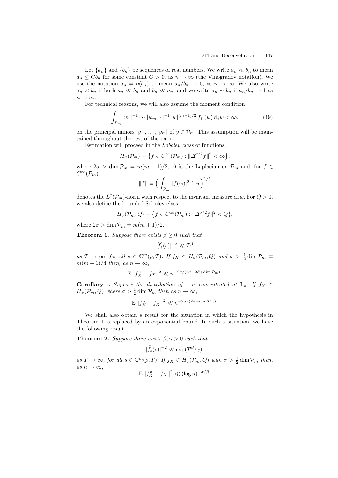Let  ${a_n}$  and  ${b_n}$  be sequences of real numbers. We write  $a_n \ll b_n$  to mean  $a_n \leq C b_n$  for some constant  $C > 0$ , as  $n \to \infty$  (the Vinogradov notation). We use the notation  $a_n = o(b_n)$  to mean  $a_n/b_n \to 0$ , as  $n \to \infty$ . We also write  $a_n \nless b_n$  if both  $a_n \nless b_n$  and  $b_n \nless a_n$ ; and we write  $a_n \nless b_n$  if  $a_n/b_n \to 1$  as  $n \to \infty$ .

For technical reasons, we will also assume the moment condition

$$
\int_{\mathcal{P}_m} |w_1|^{-1} \cdots |w_{m-1}|^{-1} |w|^{(m-1)/2} f_Y(w) d_* w < \infty,\tag{19}
$$

on the principal minors  $|y_1|, \ldots, |y_m|$  of  $y \in \mathcal{P}_m$ . This assumption will be maintained throughout the rest of the paper.

Estimation will proceed in the Sobolev class of functions,

$$
H_{\sigma}(\mathcal{P}_m) = \left\{ f \in C^{\infty}(\mathcal{P}_m) : ||\Delta^{\sigma/2} f||^2 < \infty \right\},\
$$

where  $2\sigma > \dim \mathcal{P}_m = m(m+1)/2$ ,  $\Delta$  is the Laplacian on  $\mathcal{P}_m$  and, for  $f \in$  $C^{\infty}(\mathcal{P}_m),$ 

$$
\|f\|=\Big(\int_{{\mathcal P}_m}\,|f(w)|^2\,\mathrm{d}_*w\Big)^{1/2}
$$

denotes the  $L^2(\mathcal{P}_m)$ -norm with respect to the invariant measure  $d_*w$ . For  $Q>0$ , we also define the bounded Sobolev class,

$$
H_{\sigma}(\mathcal{P}_m, Q) = \left\{ f \in C^{\infty}(\mathcal{P}_m) : ||\Delta^{\sigma/2} f||^2 < Q \right\},
$$

where  $2\sigma > \dim \mathcal{P}_m = m(m+1)/2$ .

**Theorem 1.** Suppose there exists  $\beta > 0$  such that

$$
|\widehat{f}_{\varepsilon}(s)|^{-2} \ll T^{\beta}
$$

as  $T \to \infty$ , for all  $s \in \mathbb{C}^m(\rho,T)$ . If  $f_X \in H_\sigma(\mathcal{P}_m,Q)$  and  $\sigma > \frac{1}{2} \dim \mathcal{P}_m \equiv$  $m(m+1)/4$  then, as  $n \to \infty$ ,

$$
\mathbb{E} \|f_X^n - f_X\|^2 \ll n^{-2\sigma/(2\sigma + 2\beta + \dim \mathcal{P}_m)}.
$$

**Corollary 1.** Suppose the distribution of  $\varepsilon$  is concentrated at  $I_m$ . If  $f_X \in$  $H_{\sigma}(\mathcal{P}_m, Q)$  where  $\sigma > \frac{1}{2} \dim \mathcal{P}_m$  then as  $n \to \infty$ ,

$$
\mathbb{E} \|f_X^n - f_X\|^2 \ll n^{-2\sigma/(2\sigma + \dim \mathcal{P}_m)}.
$$

We shall also obtain a result for the situation in which the hypothesis in Theorem 1 is replaced by an exponential bound. In such a situation, we have the following result.

**Theorem 2.** Suppose there exists  $\beta, \gamma > 0$  such that

$$
|\widehat{f}_{\varepsilon}(s)|^{-2} \ll \exp(T^{\beta}/\gamma),
$$

as  $T \to \infty$ , for all  $s \in \mathbb{C}^m(\rho,T)$ . If  $f_X \in H_\sigma(\mathcal{P}_m, Q)$  with  $\sigma > \frac{1}{2} \dim \mathcal{P}_m$  then, as  $n \to \infty$ ,

$$
\mathbb{E} \|f_X^n - f_X\|^2 \ll (\log n)^{-\sigma/\beta}.
$$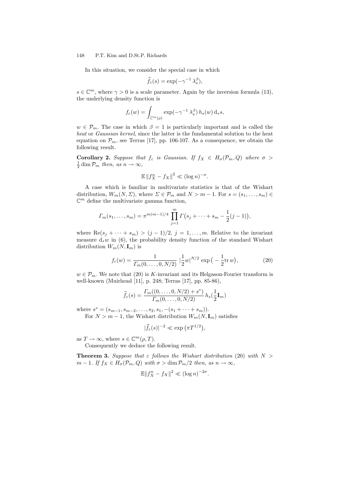In this situation, we consider the special case in which

$$
\widehat{f}_{\varepsilon}(s) = \exp(-\gamma^{-1}\lambda_s^{\beta}),
$$

 $s \in \mathbb{C}^m$ , where  $\gamma > 0$  is a scale parameter. Again by the inversion formula (13), the underlying density function is

$$
f_{\varepsilon}(w) = \int_{\mathbb{C}^m(\rho)} \exp(-\gamma^{-1} \lambda_s^{\beta}) h_s(w) d_*s,
$$

 $w \in \mathcal{P}_m$ . The case in which  $\beta = 1$  is particularly important and is called the heat or Gaussian kernel, since the latter is the fundamental solution to the heat equation on  $\mathcal{P}_m$ , see Terras [17], pp. 106-107. As a consequence, we obtain the following result.

**Corollary 2.** Suppose that  $f_{\varepsilon}$  is Gaussian. If  $f_X \in H_{\sigma}(\mathcal{P}_m, Q)$  where  $\sigma >$  $\frac{1}{2}$  dim  $\mathcal{P}_m$  then, as  $n \to \infty$ ,

$$
\mathbb{E} \|f_X^n - f_X\|^2 \ll (\log n)^{-\sigma}.
$$

A case which is familiar in multivariate statistics is that of the Wishart distribution,  $W_m(N, \Sigma)$ , where  $\Sigma \in \mathcal{P}_m$  and  $N > m - 1$ . For  $s = (s_1, \ldots, s_m) \in$  $\mathbb{C}^m$  define the multivariate gamma function,

$$
\Gamma_m(s_1,\ldots,s_m)=\pi^{m(m-1)/4}\prod_{j=1}^m\Gamma(s_j+\cdots+s_m-\frac{1}{2}(j-1)),
$$

where Re $(s_j + \cdots + s_m) > (j-1)/2$ ,  $j = 1, \ldots, m$ . Relative to the invariant measure  $d_*w$  in (6), the probability density function of the standard Wishart distribution  $W_m(N, \mathbf{I}_m)$  is

$$
f_{\varepsilon}(w) = \frac{1}{\Gamma_m(0, \dots, 0, N/2)} \left| \frac{1}{2} w \right|^{N/2} \exp\left(-\frac{1}{2} \text{tr} \, w\right),\tag{20}
$$

 $w \in \mathcal{P}_m$ . We note that (20) is K-invariant and its Helgason-Fourier transform is well-known (Muirhead [11], p. 248; Terras [17], pp. 85-86),

$$
\widehat{f}_{\varepsilon}(s) = \frac{\Gamma_m((0,\ldots,0,N/2)+s^*)}{\Gamma_m(0,\ldots,0,N/2)} h_s(\frac{1}{2}\mathbf{I}_m)
$$

where  $s^* = (s_{m-1}, s_{m-2}, \ldots, s_2, s_1, -(s_1 + \cdots + s_m)).$ 

For  $N > m - 1$ , the Wishart distribution  $W_m(N, I_m)$  satisfies

$$
|\widehat{f}_{\varepsilon}(s)|^{-2} \ll \exp\left(\pi T^{1/2}\right),\,
$$

as  $T \to \infty$ , where  $s \in \mathbb{C}^m(\rho, T)$ .

Consequently we deduce the following result.

**Theorem 3.** Suppose that  $\varepsilon$  follows the Wishart distribution (20) with  $N >$  $m-1$ . If  $f_X \in H_{\sigma}(\mathcal{P}_m, Q)$  with  $\sigma > \dim \mathcal{P}_m/2$  then, as  $n \to \infty$ ,

$$
\mathbb{E}||f_X^n - f_X||^2 \ll (\log n)^{-2\sigma}.
$$